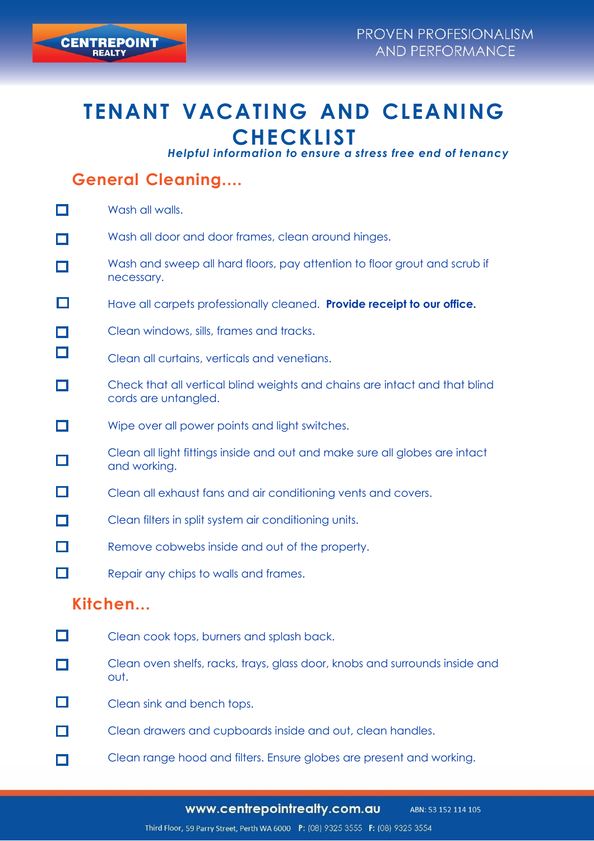# **TENANT VACATING AND CLEANING CHECKLIST**

*Helpful information to ensure a stress free end of tenancy*

## **General Cleaning....**

|                          | Wash all walls.                                                                                    |
|--------------------------|----------------------------------------------------------------------------------------------------|
|                          | Wash all door and door frames, clean around hinges.                                                |
|                          | Wash and sweep all hard floors, pay attention to floor grout and scrub if<br>necessary.            |
|                          | Have all carpets professionally cleaned. Provide receipt to our office.                            |
|                          | Clean windows, sills, frames and tracks.                                                           |
|                          | Clean all curtains, verticals and venetians.                                                       |
|                          | Check that all vertical blind weights and chains are intact and that blind<br>cords are untangled. |
|                          | Wipe over all power points and light switches.                                                     |
| $\Box$                   | Clean all light fittings inside and out and make sure all globes are intact<br>and working.        |
| 口                        | Clean all exhaust fans and air conditioning vents and covers.                                      |
| $\Box$                   | Clean filters in split system air conditioning units.                                              |
| 口                        | Remove cobwebs inside and out of the property.                                                     |
| $\Box$                   | Repair any chips to walls and frames.                                                              |
| $V: L \times L \times L$ |                                                                                                    |

#### **Kitchen...**

- $\Box$ Clean cook tops, burners and splash back.
- Clean oven shelfs, racks, trays, glass door, knobs and surrounds inside and П out.
- $\Box$ Clean sink and bench tops.
- П Clean drawers and cupboards inside and out, clean handles.
- Clean range hood and filters. Ensure globes are present and working.П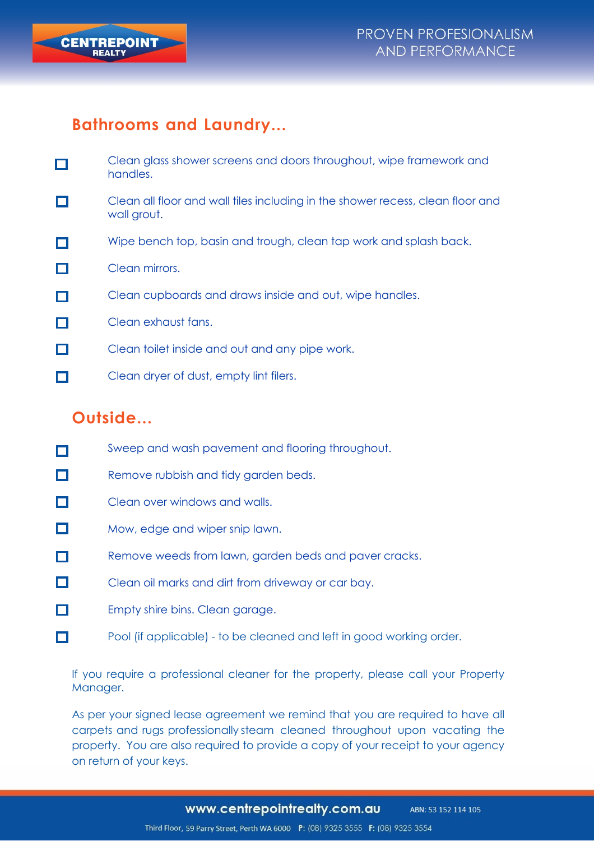

#### **Bathrooms and Laundry...**

- Clean glass shower screens and doors throughout, wipe framework and П handles.
- Clean all floor and wall tiles including in the shower recess, clean floor and  $\Box$ wall grout.
- Wipe bench top, basin and trough, clean tap work and splash back. П
- П Clean mirrors.
- п Clean cupboards and draws inside and out, wipe handles.
- П Clean exhaust fans.
- П Clean toilet inside and out and any pipe work.
- $\Box$ Clean dryer of dust, empty lint filers.

### **Outside...**

- Sweep and wash pavement and flooring throughout. П
- $\Box$ Remove rubbish and tidy garden beds.
- П Clean over windows and walls.
- $\Box$ Mow, edge and wiper snip lawn.
- Remove weeds from lawn, garden beds and paver cracks. П
- П Clean oil marks and dirt from driveway or car bay.
- П Empty shire bins. Clean garage.
- П. Pool (if applicable) - to be cleaned and left in good working order.

If you require a professional cleaner for the property, please call your Property Manager.

As per your signed lease agreement we remind that you are required to have all carpets and rugs professionally steam cleaned throughout upon vacating the property. You are also required to provide a copy of your receipt to your agency on return of your keys.